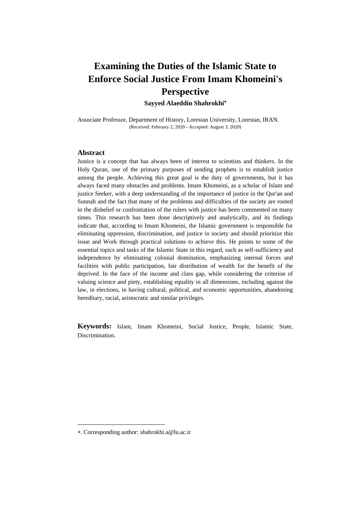**Sayyed Alaeddin Shahrokhi**

Associate Professor, Department of History, Lorestan University, Lorestan, IRAN. (Received: February 2, 2020 - Accepted: August 3, 2020)

### **Abstract**

Justice is a concept that has always been of interest to scientists and thinkers. In the Holy Quran, one of the primary purposes of sending prophets is to establish justice among the people. Achieving this great goal is the duty of governments, but it has always faced many obstacles and problems. Imam Khomeini, as a scholar of Islam and justice Seeker, with a deep understanding of the importance of justice in the Qur'an and Sunnah and the fact that many of the problems and difficulties of the society are rooted in the disbelief or confrontation of the rulers with justice has been commented on many times. This research has been done descriptively and analytically, and its findings indicate that, according to Imam Khomeini, the Islamic government is responsible for eliminating oppression, discrimination, and justice in society and should prioritize this issue and Work through practical solutions to achieve this. He points to some of the essential topics and tasks of the Islamic State in this regard, such as self-sufficiency and independence by eliminating colonial domination, emphasizing internal forces and facilities with public participation, fair distribution of wealth for the benefit of the deprived. In the face of the income and class gap, while considering the criterion of valuing science and piety, establishing equality in all dimensions, including against the law, in elections, in having cultural, political, and economic opportunities, abandoning hereditary, racial, aristocratic and similar privileges.

**Keywords:** Islam, Imam Khomeini, Social Justice, People, Islamic State, Discrimination.

 $\overline{a}$ 

<sup>.</sup> Corresponding author: shahrokhi.a@lu.ac.ir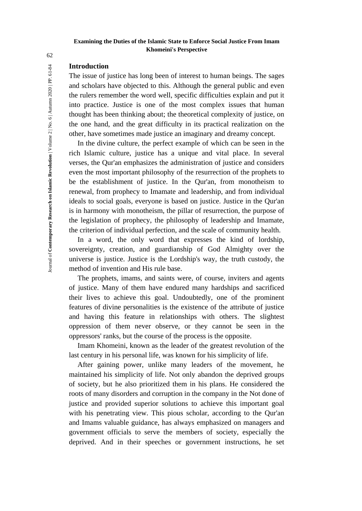## **Introduction**

The issue of justice has long been of interest to human beings. The sages and scholars have objected to this. Although the general public and even the rulers remember the word well, specific difficulties explain and put it into practice. Justice is one of the most complex issues that human thought has been thinking about; the theoretical complexity of justice, on the one hand, and the great difficulty in its practical realization on the other, have sometimes made justice an imaginary and dreamy concept.

In the divine culture, the perfect example of which can be seen in the rich Islamic culture, justice has a unique and vital place. In several verses, the Qur'an emphasizes the administration of justice and considers even the most important philosophy of the resurrection of the prophets to be the establishment of justice. In the Qur'an, from monotheism to renewal, from prophecy to Imamate and leadership, and from individual ideals to social goals, everyone is based on justice. Justice in the Qur'an is in harmony with monotheism, the pillar of resurrection, the purpose of the legislation of prophecy, the philosophy of leadership and Imamate, the criterion of individual perfection, and the scale of community health.

In a word, the only word that expresses the kind of lordship, sovereignty, creation, and guardianship of God Almighty over the universe is justice. Justice is the Lordship's way, the truth custody, the method of invention and His rule base.

The prophets, imams, and saints were, of course, inviters and agents of justice. Many of them have endured many hardships and sacrificed their lives to achieve this goal. Undoubtedly, one of the prominent features of divine personalities is the existence of the attribute of justice and having this feature in relationships with others. The slightest oppression of them never observe, or they cannot be seen in the oppressors' ranks, but the course of the process is the opposite.

Imam Khomeini, known as the leader of the greatest revolution of the last century in his personal life, was known for his simplicity of life.

After gaining power, unlike many leaders of the movement, he maintained his simplicity of life. Not only abandon the deprived groups of society, but he also prioritized them in his plans. He considered the roots of many disorders and corruption in the company in the Not done of justice and provided superior solutions to achieve this important goal with his penetrating view. This pious scholar, according to the Qur'an and Imams valuable guidance, has always emphasized on managers and government officials to serve the members of society, especially the deprived. And in their speeches or government instructions, he set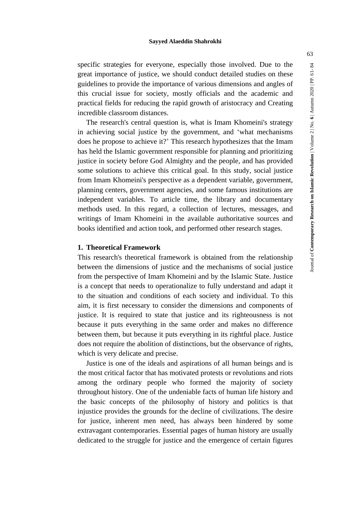specific strategies for everyone, especially those involved. Due to the great importance of justice, we should conduct detailed studies on these guidelines to provide the importance of various dimensions and angles of this crucial issue for society, mostly officials and the academic and practical fields for reducing the rapid growth of aristocracy and Creating incredible classroom distances.

The research's central question is, what is Imam Khomeini's strategy in achieving social justice by the government, and 'what mechanisms does he propose to achieve it?' This research hypothesizes that the Imam has held the Islamic government responsible for planning and prioritizing justice in society before God Almighty and the people, and has provided some solutions to achieve this critical goal. In this study, social justice from Imam Khomeini's perspective as a dependent variable, government, planning centers, government agencies, and some famous institutions are independent variables. To article time, the library and documentary methods used. In this regard, a collection of lectures, messages, and writings of Imam Khomeini in the available authoritative sources and books identified and action took, and performed other research stages.

### **1. Theoretical Framework**

This research's theoretical framework is obtained from the relationship between the dimensions of justice and the mechanisms of social justice from the perspective of Imam Khomeini and by the Islamic State. Justice is a concept that needs to operationalize to fully understand and adapt it to the situation and conditions of each society and individual. To this aim, it is first necessary to consider the dimensions and components of justice. It is required to state that justice and its righteousness is not because it puts everything in the same order and makes no difference between them, but because it puts everything in its rightful place. Justice does not require the abolition of distinctions, but the observance of rights, which is very delicate and precise.

Justice is one of the ideals and aspirations of all human beings and is the most critical factor that has motivated protests or revolutions and riots among the ordinary people who formed the majority of society throughout history. One of the undeniable facts of human life history and the basic concepts of the philosophy of history and politics is that injustice provides the grounds for the decline of civilizations. The desire for justice, inherent men need, has always been hindered by some extravagant contemporaries. Essential pages of human history are usually dedicated to the struggle for justice and the emergence of certain figures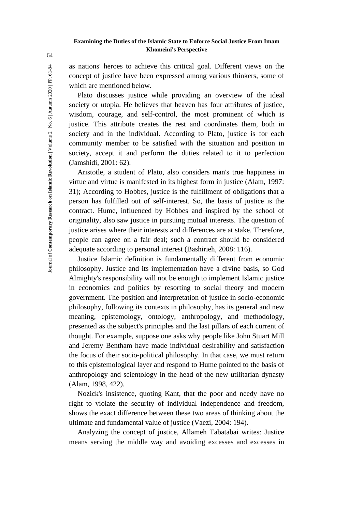as nations' heroes to achieve this critical goal. Different views on the concept of justice have been expressed among various thinkers, some of which are mentioned below.

Plato discusses justice while providing an overview of the ideal society or utopia. He believes that heaven has four attributes of justice, wisdom, courage, and self-control, the most prominent of which is justice. This attribute creates the rest and coordinates them, both in society and in the individual. According to Plato, justice is for each community member to be satisfied with the situation and position in society, accept it and perform the duties related to it to perfection (Jamshidi, 2001: 62).

Aristotle, a student of Plato, also considers man's true happiness in virtue and virtue is manifested in its highest form in justice (Alam, 1997: 31); According to Hobbes, justice is the fulfillment of obligations that a person has fulfilled out of self-interest. So, the basis of justice is the contract. Hume, influenced by Hobbes and inspired by the school of originality, also saw justice in pursuing mutual interests. The question of justice arises where their interests and differences are at stake. Therefore, people can agree on a fair deal; such a contract should be considered adequate according to personal interest (Bashirieh, 2008: 116).

Justice Islamic definition is fundamentally different from economic philosophy. Justice and its implementation have a divine basis, so God Almighty's responsibility will not be enough to implement Islamic justice in economics and politics by resorting to social theory and modern government. The position and interpretation of justice in socio-economic philosophy, following its contexts in philosophy, has its general and new meaning, epistemology, ontology, anthropology, and methodology, presented as the subject's principles and the last pillars of each current of thought. For example, suppose one asks why people like John Stuart Mill and Jeremy Bentham have made individual desirability and satisfaction the focus of their socio-political philosophy. In that case, we must return to this epistemological layer and respond to Hume pointed to the basis of anthropology and scientology in the head of the new utilitarian dynasty (Alam, 1998, 422).

Nozick's insistence, quoting Kant, that the poor and needy have no right to violate the security of individual independence and freedom, shows the exact difference between these two areas of thinking about the ultimate and fundamental value of justice (Vaezi, 2004: 194).

Analyzing the concept of justice, Allameh Tabatabai writes: Justice means serving the middle way and avoiding excesses and excesses in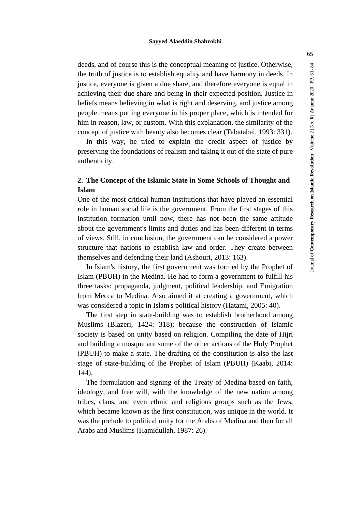deeds, and of course this is the conceptual meaning of justice. Otherwise, the truth of justice is to establish equality and have harmony in deeds. In justice, everyone is given a due share, and therefore everyone is equal in achieving their due share and being in their expected position. Justice in beliefs means believing in what is right and deserving, and justice among people means putting everyone in his proper place, which is intended for him in reason, law, or custom. With this explanation, the similarity of the concept of justice with beauty also becomes clear (Tabatabai, 1993: 331).

In this way, he tried to explain the credit aspect of justice by preserving the foundations of realism and taking it out of the state of pure authenticity.

# **2. The Concept of the Islamic State in Some Schools of Thought and Islam**

One of the most critical human institutions that have played an essential role in human social life is the government. From the first stages of this institution formation until now, there has not been the same attitude about the government's limits and duties and has been different in terms of views. Still, in conclusion, the government can be considered a power structure that nations to establish law and order. They create between themselves and defending their land (Ashouri, 2013: 163).

In Islam's history, the first government was formed by the Prophet of Islam (PBUH) in the Medina. He had to form a government to fulfill his three tasks: propaganda, judgment, political leadership, and Emigration from Mecca to Medina. Also aimed it at creating a government, which was considered a topic in Islam's political history (Hatami, 2005: 40).

The first step in state-building was to establish brotherhood among Muslims (Blazeri, 1424: 318); because the construction of Islamic society is based on unity based on religion. Compiling the date of Hijri and building a mosque are some of the other actions of the Holy Prophet (PBUH) to make a state. The drafting of the constitution is also the last stage of state-building of the Prophet of Islam (PBUH) (Kaabi, 2014: 144).

The formulation and signing of the Treaty of Medina based on faith, ideology, and free will, with the knowledge of the new nation among tribes, clans, and even ethnic and religious groups such as the Jews, which became known as the first constitution, was unique in the world. It was the prelude to political unity for the Arabs of Medina and then for all Arabs and Muslims (Hamidullah, 1987: 26).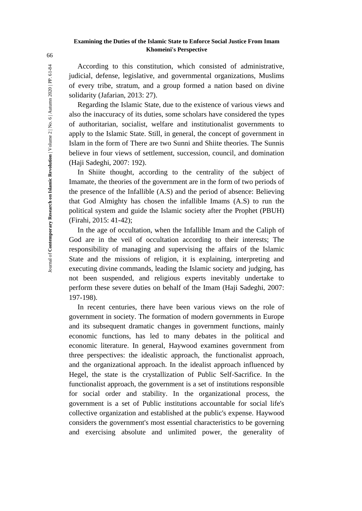According to this constitution, which consisted of administrative, judicial, defense, legislative, and governmental organizations, Muslims of every tribe, stratum, and a group formed a nation based on divine solidarity (Jafarian, 2013: 27).

Regarding the Islamic State, due to the existence of various views and also the inaccuracy of its duties, some scholars have considered the types of authoritarian, socialist, welfare and institutionalist governments to apply to the Islamic State. Still, in general, the concept of government in Islam in the form of There are two Sunni and Shiite theories. The Sunnis believe in four views of settlement, succession, council, and domination (Haji Sadeghi, 2007: 192).

In Shiite thought, according to the centrality of the subject of Imamate, the theories of the government are in the form of two periods of the presence of the Infallible (A.S) and the period of absence: Believing that God Almighty has chosen the infallible Imams (A.S) to run the political system and guide the Islamic society after the Prophet (PBUH) (Firahi, 2015: 41-42);

In the age of occultation, when the Infallible Imam and the Caliph of God are in the veil of occultation according to their interests; The responsibility of managing and supervising the affairs of the Islamic State and the missions of religion, it is explaining, interpreting and executing divine commands, leading the Islamic society and judging, has not been suspended, and religious experts inevitably undertake to perform these severe duties on behalf of the Imam (Haji Sadeghi, 2007: 197-198).

In recent centuries, there have been various views on the role of government in society. The formation of modern governments in Europe and its subsequent dramatic changes in government functions, mainly economic functions, has led to many debates in the political and economic literature. In general, Haywood examines government from three perspectives: the idealistic approach, the functionalist approach, and the organizational approach. In the idealist approach influenced by Hegel, the state is the crystallization of Public Self-Sacrifice. In the functionalist approach, the government is a set of institutions responsible for social order and stability. In the organizational process, the government is a set of Public institutions accountable for social life's collective organization and established at the public's expense. Haywood considers the government's most essential characteristics to be governing and exercising absolute and unlimited power, the generality of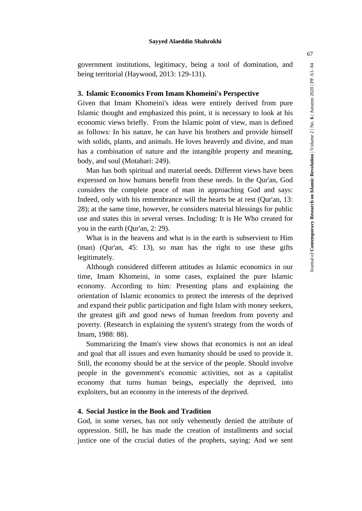$61 -$ 

Journal of **Contemporary Research on Islamic Revolution** | Volume 2 | No. **6** | Autumn 2020 | PP. 61-

Journal of Contemporary Research on Islamic Revolution | Volume 2 | No. 6 | Autumn 2020 | PP.

government institutions, legitimacy, being a tool of domination, and being territorial (Haywood, 2013: 129-131).

### **3. Islamic Economics From Imam Khomeini's Perspective**

Given that Imam Khomeini's ideas were entirely derived from pure Islamic thought and emphasized this point, it is necessary to look at his economic views briefly. From the Islamic point of view, man is defined as follows: In his nature, he can have his brothers and provide himself with solids, plants, and animals. He loves heavenly and divine, and man has a combination of nature and the intangible property and meaning, body, and soul (Motahari: 249).

Man has both spiritual and material needs. Different views have been expressed on how humans benefit from these needs. In the Qur'an, God considers the complete peace of man in approaching God and says: Indeed, only with his remembrance will the hearts be at rest (Qur'an, 13: 28); at the same time, however, he considers material blessings for public use and states this in several verses. Including: It is He Who created for you in the earth (Qur'an, 2: 29).

What is in the heavens and what is in the earth is subservient to Him (man) (Qur'an, 45: 13), so man has the right to use these gifts legitimately.

Although considered different attitudes as Islamic economics in our time, Imam Khomeini, in some cases, explained the pure Islamic economy. According to him: Presenting plans and explaining the orientation of Islamic economics to protect the interests of the deprived and expand their public participation and fight Islam with money seekers, the greatest gift and good news of human freedom from poverty and poverty. (Research in explaining the system's strategy from the words of Imam, 1988: 88).

Summarizing the Imam's view shows that economics is not an ideal and goal that all issues and even humanity should be used to provide it. Still, the economy should be at the service of the people. Should involve people in the government's economic activities, not as a capitalist economy that turns human beings, especially the deprived, into exploiters, but an economy in the interests of the deprived.

### **4. Social Justice in the Book and Tradition**

God, in some verses, has not only vehemently denied the attribute of oppression. Still, he has made the creation of installments and social justice one of the crucial duties of the prophets, saying: And we sent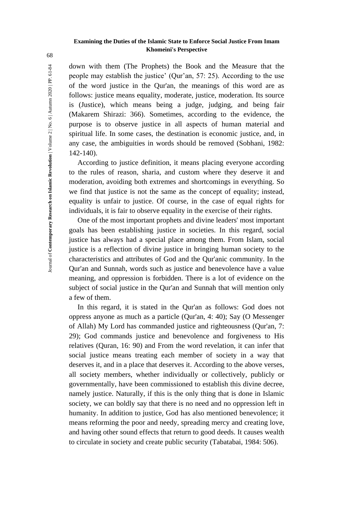down with them (The Prophets) the Book and the Measure that the people may establish the justice' (Qur'an, 57: 25). According to the use of the word justice in the Qur'an, the meanings of this word are as follows: justice means equality, moderate, justice, moderation. Its source is (Justice), which means being a judge, judging, and being fair (Makarem Shirazi: 366). Sometimes, according to the evidence, the purpose is to observe justice in all aspects of human material and spiritual life. In some cases, the destination is economic justice, and, in any case, the ambiguities in words should be removed (Sobhani, 1982: 142-140).

According to justice definition, it means placing everyone according to the rules of reason, sharia, and custom where they deserve it and moderation, avoiding both extremes and shortcomings in everything. So we find that justice is not the same as the concept of equality; instead, equality is unfair to justice. Of course, in the case of equal rights for individuals, it is fair to observe equality in the exercise of their rights.

One of the most important prophets and divine leaders' most important goals has been establishing justice in societies. In this regard, social justice has always had a special place among them. From Islam, social justice is a reflection of divine justice in bringing human society to the characteristics and attributes of God and the Qur'anic community. In the Qur'an and Sunnah, words such as justice and benevolence have a value meaning, and oppression is forbidden. There is a lot of evidence on the subject of social justice in the Qur'an and Sunnah that will mention only a few of them.

In this regard, it is stated in the Qur'an as follows: God does not oppress anyone as much as a particle (Qur'an, 4: 40); Say (O Messenger of Allah) My Lord has commanded justice and righteousness (Qur'an, 7: 29); God commands justice and benevolence and forgiveness to His relatives (Quran, 16: 90) and From the word revelation, it can infer that social justice means treating each member of society in a way that deserves it, and in a place that deserves it. According to the above verses, all society members, whether individually or collectively, publicly or governmentally, have been commissioned to establish this divine decree, namely justice. Naturally, if this is the only thing that is done in Islamic society, we can boldly say that there is no need and no oppression left in humanity. In addition to justice, God has also mentioned benevolence; it means reforming the poor and needy, spreading mercy and creating love, and having other sound effects that return to good deeds. It causes wealth to circulate in society and create public security (Tabatabai, 1984: 506).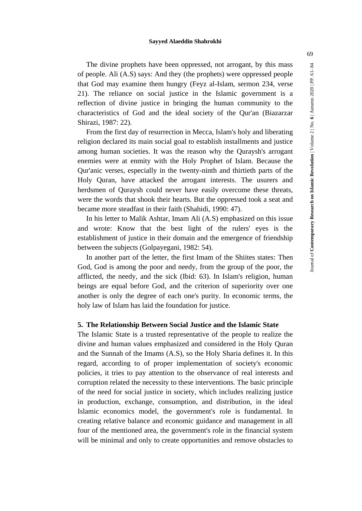The divine prophets have been oppressed, not arrogant, by this mass of people. Ali (A.S) says: And they (the prophets) were oppressed people that God may examine them hungry (Feyz al-Islam, sermon 234, verse 21). The reliance on social justice in the Islamic government is a reflection of divine justice in bringing the human community to the characteristics of God and the ideal society of the Qur'an (Biazarzar Shirazi, 1987: 22).

From the first day of resurrection in Mecca, Islam's holy and liberating religion declared its main social goal to establish installments and justice among human societies. It was the reason why the Quraysh's arrogant enemies were at enmity with the Holy Prophet of Islam. Because the Qur'anic verses, especially in the twenty-ninth and thirtieth parts of the Holy Quran, have attacked the arrogant interests. The usurers and herdsmen of Quraysh could never have easily overcome these threats, were the words that shook their hearts. But the oppressed took a seat and became more steadfast in their faith (Shahidi, 1990: 47).

In his letter to Malik Ashtar, Imam Ali (A.S) emphasized on this issue and wrote: Know that the best light of the rulers' eyes is the establishment of justice in their domain and the emergence of friendship between the subjects (Golpayegani, 1982: 54).

In another part of the letter, the first Imam of the Shiites states: Then God, God is among the poor and needy, from the group of the poor, the afflicted, the needy, and the sick (Ibid: 63). In Islam's religion, human beings are equal before God, and the criterion of superiority over one another is only the degree of each one's purity. In economic terms, the holy law of Islam has laid the foundation for justice.

# **5. The Relationship Between Social Justice and the Islamic State**

The Islamic State is a trusted representative of the people to realize the divine and human values emphasized and considered in the Holy Quran and the Sunnah of the Imams (A.S), so the Holy Sharia defines it. In this regard, according to of proper implementation of society's economic policies, it tries to pay attention to the observance of real interests and corruption related the necessity to these interventions. The basic principle of the need for social justice in society, which includes realizing justice in production, exchange, consumption, and distribution, in the ideal Islamic economics model, the government's role is fundamental. In creating relative balance and economic guidance and management in all four of the mentioned area, the government's role in the financial system will be minimal and only to create opportunities and remove obstacles to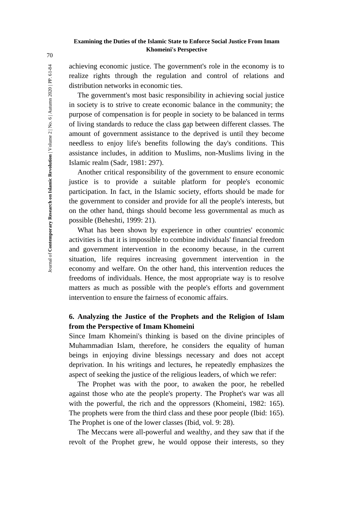achieving economic justice. The government's role in the economy is to realize rights through the regulation and control of relations and distribution networks in economic ties.

The government's most basic responsibility in achieving social justice in society is to strive to create economic balance in the community; the purpose of compensation is for people in society to be balanced in terms of living standards to reduce the class gap between different classes. The amount of government assistance to the deprived is until they become needless to enjoy life's benefits following the day's conditions. This assistance includes, in addition to Muslims, non-Muslims living in the Islamic realm (Sadr, 1981: 297).

Another critical responsibility of the government to ensure economic justice is to provide a suitable platform for people's economic participation. In fact, in the Islamic society, efforts should be made for the government to consider and provide for all the people's interests, but on the other hand, things should become less governmental as much as possible (Beheshti, 1999: 21).

What has been shown by experience in other countries' economic activities is that it is impossible to combine individuals' financial freedom and government intervention in the economy because, in the current situation, life requires increasing government intervention in the economy and welfare. On the other hand, this intervention reduces the freedoms of individuals. Hence, the most appropriate way is to resolve matters as much as possible with the people's efforts and government intervention to ensure the fairness of economic affairs.

# **6. Analyzing the Justice of the Prophets and the Religion of Islam from the Perspective of Imam Khomeini**

Since Imam Khomeini's thinking is based on the divine principles of Muhammadian Islam, therefore, he considers the equality of human beings in enjoying divine blessings necessary and does not accept deprivation. In his writings and lectures, he repeatedly emphasizes the aspect of seeking the justice of the religious leaders, of which we refer:

The Prophet was with the poor, to awaken the poor, he rebelled against those who ate the people's property. The Prophet's war was all with the powerful, the rich and the oppressors (Khomeini, 1982: 165). The prophets were from the third class and these poor people (Ibid: 165). The Prophet is one of the lower classes (Ibid, vol. 9: 28).

The Meccans were all-powerful and wealthy, and they saw that if the revolt of the Prophet grew, he would oppose their interests, so they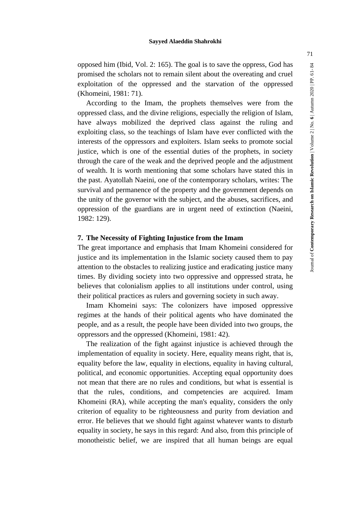opposed him (Ibid, Vol. 2: 165). The goal is to save the oppress, God has promised the scholars not to remain silent about the overeating and cruel exploitation of the oppressed and the starvation of the oppressed (Khomeini, 1981: 71).

According to the Imam, the prophets themselves were from the oppressed class, and the divine religions, especially the religion of Islam, have always mobilized the deprived class against the ruling and exploiting class, so the teachings of Islam have ever conflicted with the interests of the oppressors and exploiters. Islam seeks to promote social justice, which is one of the essential duties of the prophets, in society through the care of the weak and the deprived people and the adjustment of wealth. It is worth mentioning that some scholars have stated this in the past. Ayatollah Naeini, one of the contemporary scholars, writes: The survival and permanence of the property and the government depends on the unity of the governor with the subject, and the abuses, sacrifices, and oppression of the guardians are in urgent need of extinction (Naeini, 1982: 129).

# **7. The Necessity of Fighting Injustice from the Imam**

The great importance and emphasis that Imam Khomeini considered for justice and its implementation in the Islamic society caused them to pay attention to the obstacles to realizing justice and eradicating justice many times. By dividing society into two oppressive and oppressed strata, he believes that colonialism applies to all institutions under control, using their political practices as rulers and governing society in such away.

Imam Khomeini says: The colonizers have imposed oppressive regimes at the hands of their political agents who have dominated the people, and as a result, the people have been divided into two groups, the oppressors and the oppressed (Khomeini, 1981: 42).

The realization of the fight against injustice is achieved through the implementation of equality in society. Here, equality means right, that is, equality before the law, equality in elections, equality in having cultural, political, and economic opportunities. Accepting equal opportunity does not mean that there are no rules and conditions, but what is essential is that the rules, conditions, and competencies are acquired. Imam Khomeini (RA), while accepting the man's equality, considers the only criterion of equality to be righteousness and purity from deviation and error. He believes that we should fight against whatever wants to disturb equality in society, he says in this regard: And also, from this principle of monotheistic belief, we are inspired that all human beings are equal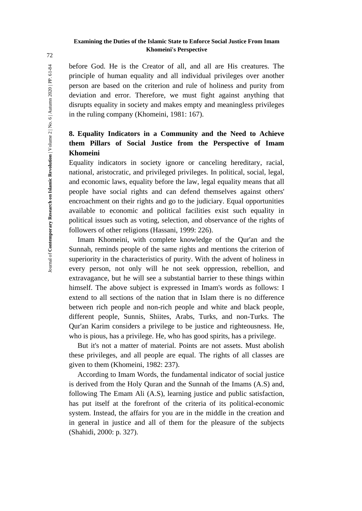before God. He is the Creator of all, and all are His creatures. The principle of human equality and all individual privileges over another person are based on the criterion and rule of holiness and purity from deviation and error. Therefore, we must fight against anything that disrupts equality in society and makes empty and meaningless privileges in the ruling company (Khomeini, 1981: 167).

# **8. Equality Indicators in a Community and the Need to Achieve them Pillars of Social Justice from the Perspective of Imam Khomeini**

Equality indicators in society ignore or canceling hereditary, racial, national, aristocratic, and privileged privileges. In political, social, legal, and economic laws, equality before the law, legal equality means that all people have social rights and can defend themselves against others' encroachment on their rights and go to the judiciary. Equal opportunities available to economic and political facilities exist such equality in political issues such as voting, selection, and observance of the rights of followers of other religions (Hassani, 1999: 226).

Imam Khomeini, with complete knowledge of the Qur'an and the Sunnah, reminds people of the same rights and mentions the criterion of superiority in the characteristics of purity. With the advent of holiness in every person, not only will he not seek oppression, rebellion, and extravagance, but he will see a substantial barrier to these things within himself. The above subject is expressed in Imam's words as follows: I extend to all sections of the nation that in Islam there is no difference between rich people and non-rich people and white and black people, different people, Sunnis, Shiites, Arabs, Turks, and non-Turks. The Qur'an Karim considers a privilege to be justice and righteousness. He, who is pious, has a privilege. He, who has good spirits, has a privilege.

But it's not a matter of material. Points are not assets. Must abolish these privileges, and all people are equal. The rights of all classes are given to them (Khomeini, 1982: 237).

According to Imam Words, the fundamental indicator of social justice is derived from the Holy Quran and the Sunnah of the Imams (A.S) and, following The Emam Ali (A.S), learning justice and public satisfaction, has put itself at the forefront of the criteria of its political-economic system. Instead, the affairs for you are in the middle in the creation and in general in justice and all of them for the pleasure of the subjects (Shahidi, 2000: p. 327).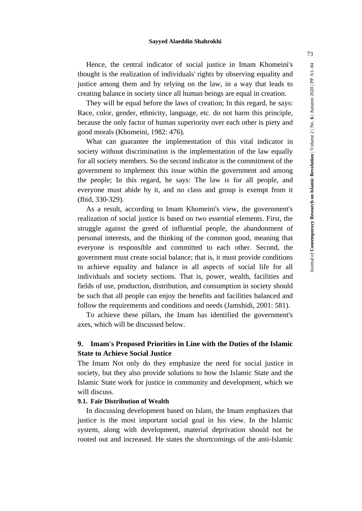Hence, the central indicator of social justice in Imam Khomeini's thought is the realization of individuals' rights by observing equality and justice among them and by relying on the law, in a way that leads to creating balance in society since all human beings are equal in creation.

They will be equal before the laws of creation; In this regard, he says: Race, color, gender, ethnicity, language, etc. do not harm this principle, because the only factor of human superiority over each other is piety and good morals (Khomeini, 1982: 476).

What can guarantee the implementation of this vital indicator in society without discrimination is the implementation of the law equally for all society members. So the second indicator is the commitment of the government to implement this issue within the government and among the people; In this regard, he says: The law is for all people, and everyone must abide by it, and no class and group is exempt from it (Ibid, 330-329).

As a result, according to Imam Khomeini's view, the government's realization of social justice is based on two essential elements. First, the struggle against the greed of influential people, the abandonment of personal interests, and the thinking of the common good, meaning that everyone is responsible and committed to each other. Second, the government must create social balance; that is, it must provide conditions to achieve equality and balance in all aspects of social life for all individuals and society sections. That is, power, wealth, facilities and fields of use, production, distribution, and consumption in society should be such that all people can enjoy the benefits and facilities balanced and follow the requirements and conditions and needs (Jamshidi, 2001: 581).

To achieve these pillars, the Imam has identified the government's axes, which will be discussed below.

# **9. Imam's Proposed Priorities in Line with the Duties of the Islamic State to Achieve Social Justice**

The Imam Not only do they emphasize the need for social justice in society, but they also provide solutions to how the Islamic State and the Islamic State work for justice in community and development, which we will discuss.

## **9.1. Fair Distribution of Wealth**

In discussing development based on Islam, the Imam emphasizes that justice is the most important social goal in his view. In the Islamic system, along with development, material deprivation should not be rooted out and increased. He states the shortcomings of the anti-Islamic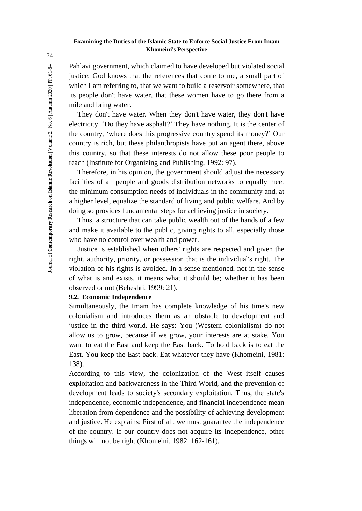Pahlavi government, which claimed to have developed but violated social justice: God knows that the references that come to me, a small part of which I am referring to, that we want to build a reservoir somewhere, that its people don't have water, that these women have to go there from a mile and bring water.

They don't have water. When they don't have water, they don't have electricity. 'Do they have asphalt?' They have nothing. It is the center of the country, 'where does this progressive country spend its money?' Our country is rich, but these philanthropists have put an agent there, above this country, so that these interests do not allow these poor people to reach (Institute for Organizing and Publishing, 1992: 97).

Therefore, in his opinion, the government should adjust the necessary facilities of all people and goods distribution networks to equally meet the minimum consumption needs of individuals in the community and, at a higher level, equalize the standard of living and public welfare. And by doing so provides fundamental steps for achieving justice in society.

Thus, a structure that can take public wealth out of the hands of a few and make it available to the public, giving rights to all, especially those who have no control over wealth and power.

Justice is established when others' rights are respected and given the right, authority, priority, or possession that is the individual's right. The violation of his rights is avoided. In a sense mentioned, not in the sense of what is and exists, it means what it should be; whether it has been observed or not (Beheshti, 1999: 21).

### **9.2. Economic Independence**

Simultaneously, the Imam has complete knowledge of his time's new colonialism and introduces them as an obstacle to development and justice in the third world. He says: You (Western colonialism) do not allow us to grow, because if we grow, your interests are at stake. You want to eat the East and keep the East back. To hold back is to eat the East. You keep the East back. Eat whatever they have (Khomeini, 1981: 138).

According to this view, the colonization of the West itself causes exploitation and backwardness in the Third World, and the prevention of development leads to society's secondary exploitation. Thus, the state's independence, economic independence, and financial independence mean liberation from dependence and the possibility of achieving development and justice. He explains: First of all, we must guarantee the independence of the country. If our country does not acquire its independence, other things will not be right (Khomeini, 1982: 162-161).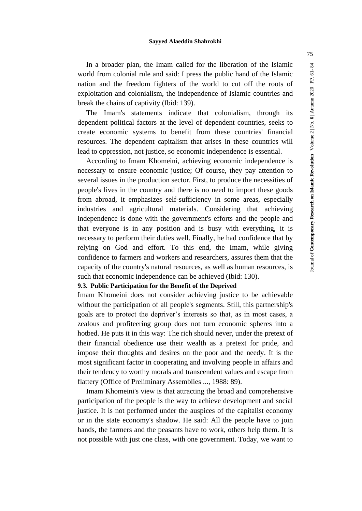In a broader plan, the Imam called for the liberation of the Islamic world from colonial rule and said: I press the public hand of the Islamic nation and the freedom fighters of the world to cut off the roots of exploitation and colonialism, the independence of Islamic countries and break the chains of captivity (Ibid: 139).

The Imam's statements indicate that colonialism, through its dependent political factors at the level of dependent countries, seeks to create economic systems to benefit from these countries' financial resources. The dependent capitalism that arises in these countries will lead to oppression, not justice, so economic independence is essential.

According to Imam Khomeini, achieving economic independence is necessary to ensure economic justice; Of course, they pay attention to several issues in the production sector. First, to produce the necessities of people's lives in the country and there is no need to import these goods from abroad, it emphasizes self-sufficiency in some areas, especially industries and agricultural materials. Considering that achieving independence is done with the government's efforts and the people and that everyone is in any position and is busy with everything, it is necessary to perform their duties well. Finally, he had confidence that by relying on God and effort. To this end, the Imam, while giving confidence to farmers and workers and researchers, assures them that the capacity of the country's natural resources, as well as human resources, is such that economic independence can be achieved (Ibid: 130).

# **9.3. Public Participation for the Benefit of the Deprived**

Imam Khomeini does not consider achieving justice to be achievable without the participation of all people's segments. Still, this partnership's goals are to protect the depriver's interests so that, as in most cases, a zealous and profiteering group does not turn economic spheres into a hotbed. He puts it in this way: The rich should never, under the pretext of their financial obedience use their wealth as a pretext for pride, and impose their thoughts and desires on the poor and the needy. It is the most significant factor in cooperating and involving people in affairs and their tendency to worthy morals and transcendent values and escape from flattery (Office of Preliminary Assemblies ..., 1988: 89).

Imam Khomeini's view is that attracting the broad and comprehensive participation of the people is the way to achieve development and social justice. It is not performed under the auspices of the capitalist economy or in the state economy's shadow. He said: All the people have to join hands, the farmers and the peasants have to work, others help them. It is not possible with just one class, with one government. Today, we want to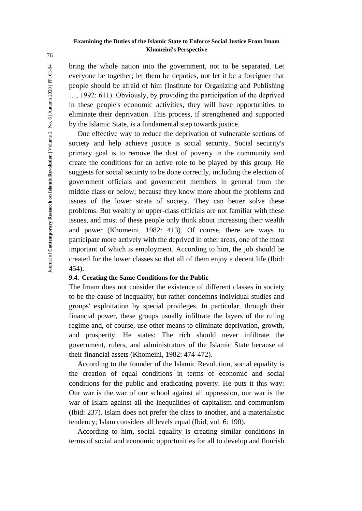bring the whole nation into the government, not to be separated. Let everyone be together; let them be deputies, not let it be a foreigner that people should be afraid of him (Institute for Organizing and Publishing …, 1992: 611). Obviously, by providing the participation of the deprived in these people's economic activities, they will have opportunities to eliminate their deprivation. This process, if strengthened and supported by the Islamic State, is a fundamental step towards justice.

One effective way to reduce the deprivation of vulnerable sections of society and help achieve justice is social security. Social security's primary goal is to remove the dust of poverty in the community and create the conditions for an active role to be played by this group. He suggests for social security to be done correctly, including the election of government officials and government members in general from the middle class or below; because they know more about the problems and issues of the lower strata of society. They can better solve these problems. But wealthy or upper-class officials are not familiar with these issues, and most of these people only think about increasing their wealth and power (Khomeini, 1982: 413). Of course, there are ways to participate more actively with the deprived in other areas, one of the most important of which is employment. According to him, the job should be created for the lower classes so that all of them enjoy a decent life (Ibid: 454).

# **9.4. Creating the Same Conditions for the Public**

The Imam does not consider the existence of different classes in society to be the cause of inequality, but rather condemns individual studies and groups' exploitation by special privileges. In particular, through their financial power, these groups usually infiltrate the layers of the ruling regime and, of course, use other means to eliminate deprivation, growth, and prosperity. He states: The rich should never infiltrate the government, rulers, and administrators of the Islamic State because of their financial assets (Khomeini, 1982: 474-472).

According to the founder of the Islamic Revolution, social equality is the creation of equal conditions in terms of economic and social conditions for the public and eradicating poverty. He puts it this way: Our war is the war of our school against all oppression, our war is the war of Islam against all the inequalities of capitalism and communism (Ibid: 237). Islam does not prefer the class to another, and a materialistic tendency; Islam considers all levels equal (Ibid, vol. 6: 190).

According to him, social equality is creating similar conditions in terms of social and economic opportunities for all to develop and flourish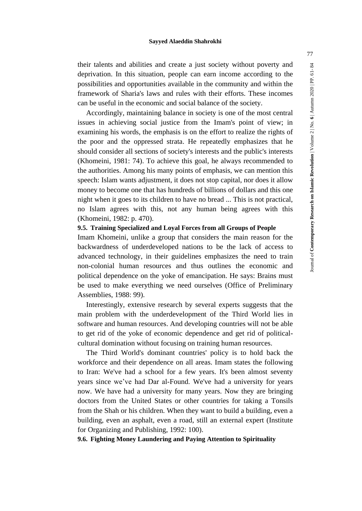their talents and abilities and create a just society without poverty and deprivation. In this situation, people can earn income according to the possibilities and opportunities available in the community and within the framework of Sharia's laws and rules with their efforts. These incomes can be useful in the economic and social balance of the society.

Accordingly, maintaining balance in society is one of the most central issues in achieving social justice from the Imam's point of view; in examining his words, the emphasis is on the effort to realize the rights of the poor and the oppressed strata. He repeatedly emphasizes that he should consider all sections of society's interests and the public's interests (Khomeini, 1981: 74). To achieve this goal, he always recommended to the authorities. Among his many points of emphasis, we can mention this speech: Islam wants adjustment, it does not stop capital, nor does it allow money to become one that has hundreds of billions of dollars and this one night when it goes to its children to have no bread ... This is not practical, no Islam agrees with this, not any human being agrees with this (Khomeini, 1982: p. 470).

# **9.5. Training Specialized and Loyal Forces from all Groups of People**

Imam Khomeini, unlike a group that considers the main reason for the backwardness of underdeveloped nations to be the lack of access to advanced technology, in their guidelines emphasizes the need to train non-colonial human resources and thus outlines the economic and political dependence on the yoke of emancipation. He says: Brains must be used to make everything we need ourselves (Office of Preliminary Assemblies, 1988: 99).

Interestingly, extensive research by several experts suggests that the main problem with the underdevelopment of the Third World lies in software and human resources. And developing countries will not be able to get rid of the yoke of economic dependence and get rid of politicalcultural domination without focusing on training human resources.

The Third World's dominant countries' policy is to hold back the workforce and their dependence on all areas. Imam states the following to Iran: We've had a school for a few years. It's been almost seventy years since we've had Dar al-Found. We've had a university for years now. We have had a university for many years. Now they are bringing doctors from the United States or other countries for taking a Tonsils from the Shah or his children. When they want to build a building, even a building, even an asphalt, even a road, still an external expert (Institute for Organizing and Publishing, 1992: 100).

**9.6. Fighting Money Laundering and Paying Attention to Spirituality**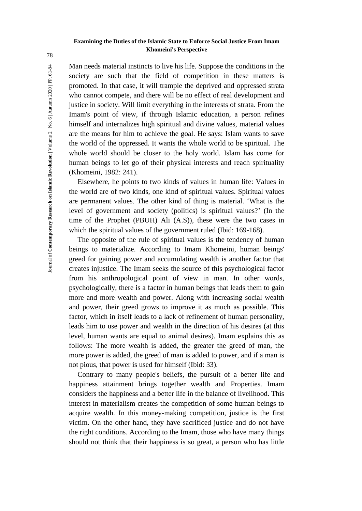Man needs material instincts to live his life. Suppose the conditions in the society are such that the field of competition in these matters is promoted. In that case, it will trample the deprived and oppressed strata who cannot compete, and there will be no effect of real development and justice in society. Will limit everything in the interests of strata. From the Imam's point of view, if through Islamic education, a person refines himself and internalizes high spiritual and divine values, material values are the means for him to achieve the goal. He says: Islam wants to save the world of the oppressed. It wants the whole world to be spiritual. The whole world should be closer to the holy world. Islam has come for human beings to let go of their physical interests and reach spirituality (Khomeini, 1982: 241).

Elsewhere, he points to two kinds of values in human life: Values in the world are of two kinds, one kind of spiritual values. Spiritual values are permanent values. The other kind of thing is material. 'What is the level of government and society (politics) is spiritual values?' (In the time of the Prophet (PBUH) Ali (A.S)), these were the two cases in which the spiritual values of the government ruled (Ibid: 169-168).

The opposite of the rule of spiritual values is the tendency of human beings to materialize. According to Imam Khomeini, human beings' greed for gaining power and accumulating wealth is another factor that creates injustice. The Imam seeks the source of this psychological factor from his anthropological point of view in man. In other words, psychologically, there is a factor in human beings that leads them to gain more and more wealth and power. Along with increasing social wealth and power, their greed grows to improve it as much as possible. This factor, which in itself leads to a lack of refinement of human personality, leads him to use power and wealth in the direction of his desires (at this level, human wants are equal to animal desires). Imam explains this as follows: The more wealth is added, the greater the greed of man, the more power is added, the greed of man is added to power, and if a man is not pious, that power is used for himself (Ibid: 33).

Contrary to many people's beliefs, the pursuit of a better life and happiness attainment brings together wealth and Properties. Imam considers the happiness and a better life in the balance of livelihood. This interest in materialism creates the competition of some human beings to acquire wealth. In this money-making competition, justice is the first victim. On the other hand, they have sacrificed justice and do not have the right conditions. According to the Imam, those who have many things should not think that their happiness is so great, a person who has little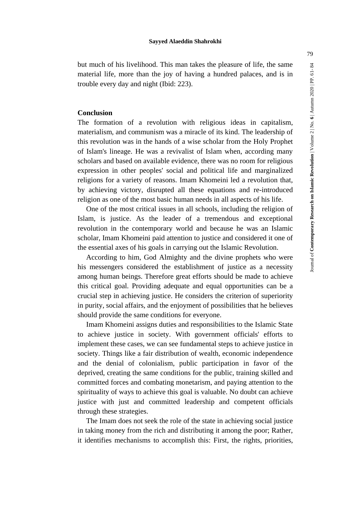but much of his livelihood. This man takes the pleasure of life, the same material life, more than the joy of having a hundred palaces, and is in trouble every day and night (Ibid: 223).

### **Conclusion**

The formation of a revolution with religious ideas in capitalism, materialism, and communism was a miracle of its kind. The leadership of this revolution was in the hands of a wise scholar from the Holy Prophet of Islam's lineage. He was a revivalist of Islam when, according many scholars and based on available evidence, there was no room for religious expression in other peoples' social and political life and marginalized religions for a variety of reasons. Imam Khomeini led a revolution that, by achieving victory, disrupted all these equations and re-introduced religion as one of the most basic human needs in all aspects of his life.

One of the most critical issues in all schools, including the religion of Islam, is justice. As the leader of a tremendous and exceptional revolution in the contemporary world and because he was an Islamic scholar, Imam Khomeini paid attention to justice and considered it one of the essential axes of his goals in carrying out the Islamic Revolution.

According to him, God Almighty and the divine prophets who were his messengers considered the establishment of justice as a necessity among human beings. Therefore great efforts should be made to achieve this critical goal. Providing adequate and equal opportunities can be a crucial step in achieving justice. He considers the criterion of superiority in purity, social affairs, and the enjoyment of possibilities that he believes should provide the same conditions for everyone.

Imam Khomeini assigns duties and responsibilities to the Islamic State to achieve justice in society. With government officials' efforts to implement these cases, we can see fundamental steps to achieve justice in society. Things like a fair distribution of wealth, economic independence and the denial of colonialism, public participation in favor of the deprived, creating the same conditions for the public, training skilled and committed forces and combating monetarism, and paying attention to the spirituality of ways to achieve this goal is valuable. No doubt can achieve justice with just and committed leadership and competent officials through these strategies.

The Imam does not seek the role of the state in achieving social justice in taking money from the rich and distributing it among the poor; Rather, it identifies mechanisms to accomplish this: First, the rights, priorities,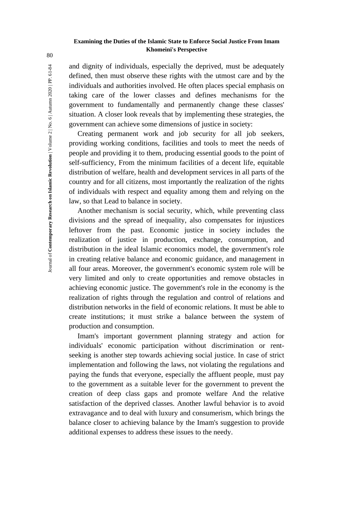and dignity of individuals, especially the deprived, must be adequately defined, then must observe these rights with the utmost care and by the individuals and authorities involved. He often places special emphasis on taking care of the lower classes and defines mechanisms for the government to fundamentally and permanently change these classes' situation. A closer look reveals that by implementing these strategies, the government can achieve some dimensions of justice in society:

Creating permanent work and job security for all job seekers, providing working conditions, facilities and tools to meet the needs of people and providing it to them, producing essential goods to the point of self-sufficiency, From the minimum facilities of a decent life, equitable distribution of welfare, health and development services in all parts of the country and for all citizens, most importantly the realization of the rights of individuals with respect and equality among them and relying on the law, so that Lead to balance in society.

Another mechanism is social security, which, while preventing class divisions and the spread of inequality, also compensates for injustices leftover from the past. Economic justice in society includes the realization of justice in production, exchange, consumption, and distribution in the ideal Islamic economics model, the government's role in creating relative balance and economic guidance, and management in all four areas. Moreover, the government's economic system role will be very limited and only to create opportunities and remove obstacles in achieving economic justice. The government's role in the economy is the realization of rights through the regulation and control of relations and distribution networks in the field of economic relations. It must be able to create institutions; it must strike a balance between the system of production and consumption.

Imam's important government planning strategy and action for individuals' economic participation without discrimination or rentseeking is another step towards achieving social justice. In case of strict implementation and following the laws, not violating the regulations and paying the funds that everyone, especially the affluent people, must pay to the government as a suitable lever for the government to prevent the creation of deep class gaps and promote welfare And the relative satisfaction of the deprived classes. Another lawful behavior is to avoid extravagance and to deal with luxury and consumerism, which brings the balance closer to achieving balance by the Imam's suggestion to provide additional expenses to address these issues to the needy.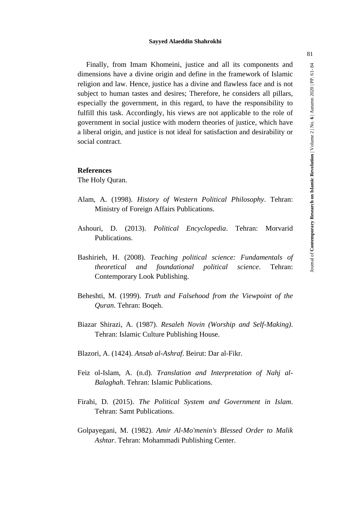Finally, from Imam Khomeini, justice and all its components and dimensions have a divine origin and define in the framework of Islamic religion and law. Hence, justice has a divine and flawless face and is not subject to human tastes and desires; Therefore, he considers all pillars, especially the government, in this regard, to have the responsibility to fulfill this task. Accordingly, his views are not applicable to the role of government in social justice with modern theories of justice, which have a liberal origin, and justice is not ideal for satisfaction and desirability or social contract.

### **References**

The Holy Quran.

- Alam, A. (1998). *History of Western Political Philosophy*. Tehran: Ministry of Foreign Affairs Publications.
- Ashouri, D. (2013). *Political Encyclopedia*. Tehran: Morvarid Publications.
- Bashirieh, H. (2008). *Teaching political science: Fundamentals of theoretical and foundational political science*. Tehran: Contemporary Look Publishing.
- Beheshti, M. (1999). *Truth and Falsehood from the Viewpoint of the Quran*. Tehran: Boqeh.
- Biazar Shirazi, A. (1987). *Resaleh Novin (Worship and Self-Making)*. Tehran: Islamic Culture Publishing House.
- Blazori, A. (1424). *Ansab al-Ashraf*. Beirut: Dar al-Fikr.
- Feiz ol-Islam, A. (n.d). *Translation and Interpretation of Nahj al-Balaghah*. Tehran: Islamic Publications.
- Firahi, D. (2015). *The Political System and Government in Islam*. Tehran: Samt Publications.
- Golpayegani, M. (1982). *Amir Al-Mo'menin's Blessed Order to Malik Ashtar*. Tehran: Mohammadi Publishing Center.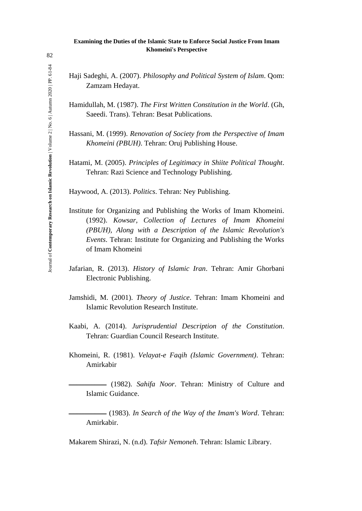- Haji Sadeghi, A. (2007). *Philosophy and Political System of Islam*. Qom: Zamzam Hedayat.
- Hamidullah, M. (1987). *The First Written Constitution in the World*. (Gh, Saeedi. Trans). Tehran: Besat Publications.
- Hassani, M. (1999). *Renovation of Society from the Perspective of Imam Khomeini (PBUH)*. Tehran: Oruj Publishing House.
- Hatami, M. (2005). *Principles of Legitimacy in Shiite Political Thought*. Tehran: Razi Science and Technology Publishing.

Haywood, A. (2013). *Politics*. Tehran: Ney Publishing.

- Institute for Organizing and Publishing the Works of Imam Khomeini. (1992). *Kowsar, Collection of Lectures of Imam Khomeini (PBUH), Along with a Description of the Islamic Revolution's Events*. Tehran: Institute for Organizing and Publishing the Works of Imam Khomeini
- Jafarian, R. (2013). *History of Islamic Iran*. Tehran: Amir Ghorbani Electronic Publishing.
- Jamshidi, M. (2001). *Theory of Justice*. Tehran: Imam Khomeini and Islamic Revolution Research Institute.
- Kaabi, A. (2014). *Jurisprudential Description of the Constitution*. Tehran: Guardian Council Research Institute.
- Khomeini, R. (1981). *Velayat-e Faqih (Islamic Government)*. Tehran: Amirkabir
	- ـــــــــــــــــــــــــ) 1982(. *Sahifa Noor*. Tehran: Ministry of Culture and Islamic Guidance.
	- ـــــــــــــــــــــــــ) 1983(. *In Search of the Way of the Imam's Word*. Tehran: Amirkabir.

Makarem Shirazi, N. (n.d). *Tafsir Nemoneh*. Tehran: Islamic Library.